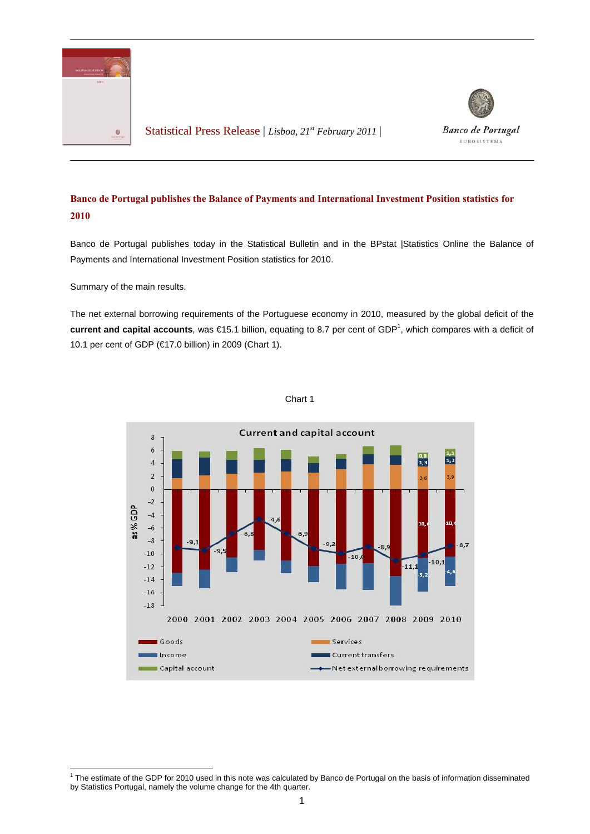

Statistical Press Release | *Lisboa, 21st February 2011* |



## **Banco de Portugal publishes the Balance of Payments and International Investment Position statistics for 2010**

Banco de Portugal publishes today in the Statistical Bulletin and in the BPstat |Statistics Online the Balance of Payments and International Investment Position statistics for 2010.

Summary of the main results.

The net external borrowing requirements of the Portuguese economy in 2010, measured by the global deficit of the current and capital accounts, was €15.1 billion, equating to 8.7 per cent of GDP<sup>1</sup>, which compares with a deficit of 10.1 per cent of GDP (€17.0 billion) in 2009 (Chart 1).



## Chart 1

 1 The estimate of the GDP for 2010 used in this note was calculated by Banco de Portugal on the basis of information disseminated by Statistics Portugal, namely the volume change for the 4th quarter.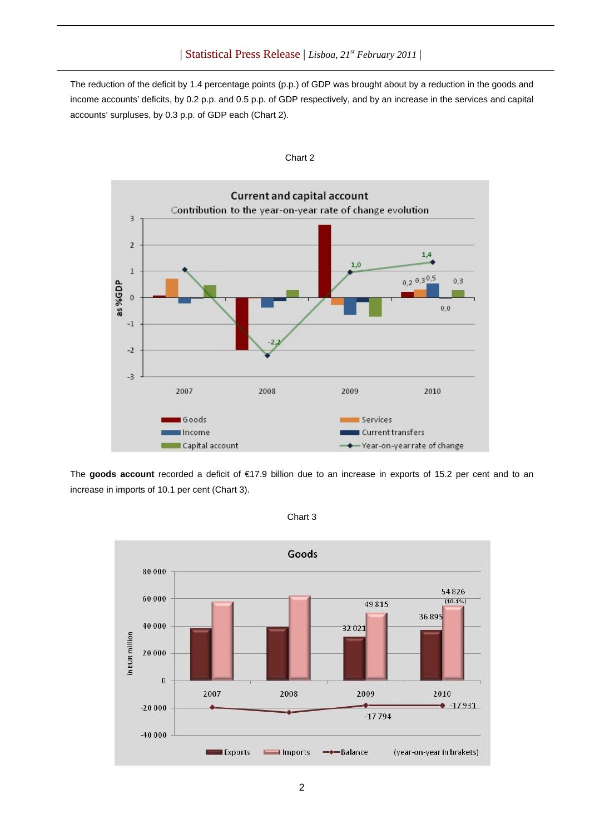The reduction of the deficit by 1.4 percentage points (p.p.) of GDP was brought about by a reduction in the goods and income accounts' deficits, by 0.2 p.p. and 0.5 p.p. of GDP respectively, and by an increase in the services and capital accounts' surpluses, by 0.3 p.p. of GDP each (Chart 2).



Chart 2

The **goods account** recorded a deficit of €17.9 billion due to an increase in exports of 15.2 per cent and to an increase in imports of 10.1 per cent (Chart 3).



Chart 3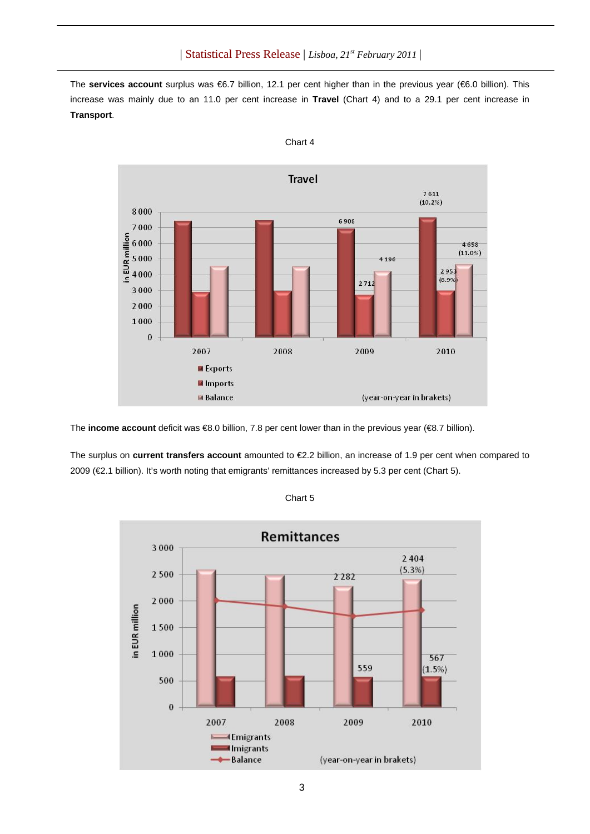The **services account** surplus was €6.7 billion, 12.1 per cent higher than in the previous year (€6.0 billion). This increase was mainly due to an 11.0 per cent increase in **Travel** (Chart 4) and to a 29.1 per cent increase in **Transport**.



Chart 4

The **income account** deficit was €8.0 billion, 7.8 per cent lower than in the previous year (€8.7 billion).

The surplus on **current transfers account** amounted to €2.2 billion, an increase of 1.9 per cent when compared to 2009 (€2.1 billion). It's worth noting that emigrants' remittances increased by 5.3 per cent (Chart 5).



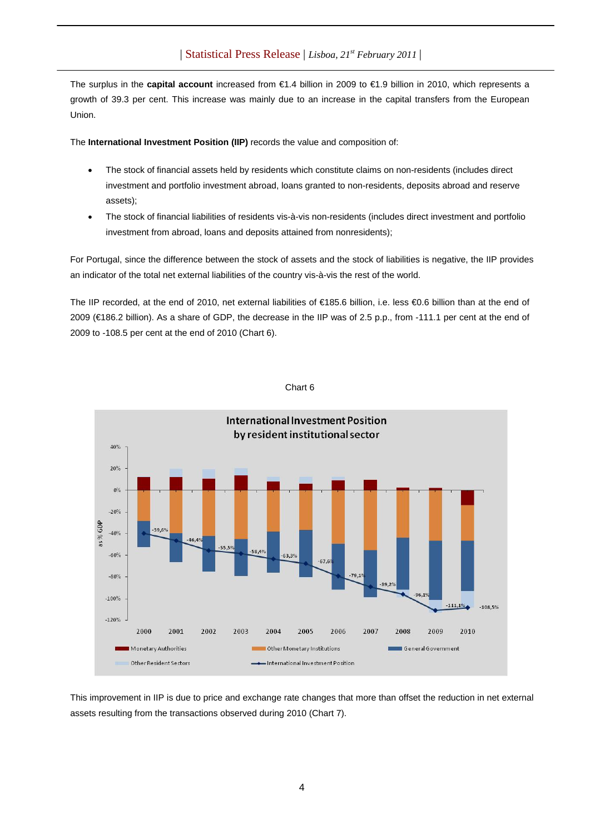## | Statistical Press Release | *Lisboa, 21st February 2011* |

The surplus in the **capital account** increased from €1.4 billion in 2009 to €1.9 billion in 2010, which represents a growth of 39.3 per cent. This increase was mainly due to an increase in the capital transfers from the European Union.

The **International Investment Position (IIP)** records the value and composition of:

- The stock of financial assets held by residents which constitute claims on non-residents (includes direct investment and portfolio investment abroad, loans granted to non-residents, deposits abroad and reserve assets);
- The stock of financial liabilities of residents vis-à-vis non-residents (includes direct investment and portfolio investment from abroad, loans and deposits attained from nonresidents);

For Portugal, since the difference between the stock of assets and the stock of liabilities is negative, the IIP provides an indicator of the total net external liabilities of the country vis-à-vis the rest of the world.

The IIP recorded, at the end of 2010, net external liabilities of €185.6 billion, i.e. less €0.6 billion than at the end of 2009 (€186.2 billion). As a share of GDP, the decrease in the IIP was of 2.5 p.p., from -111.1 per cent at the end of 2009 to -108.5 per cent at the end of 2010 (Chart 6).



Chart 6

This improvement in IIP is due to price and exchange rate changes that more than offset the reduction in net external assets resulting from the transactions observed during 2010 (Chart 7).